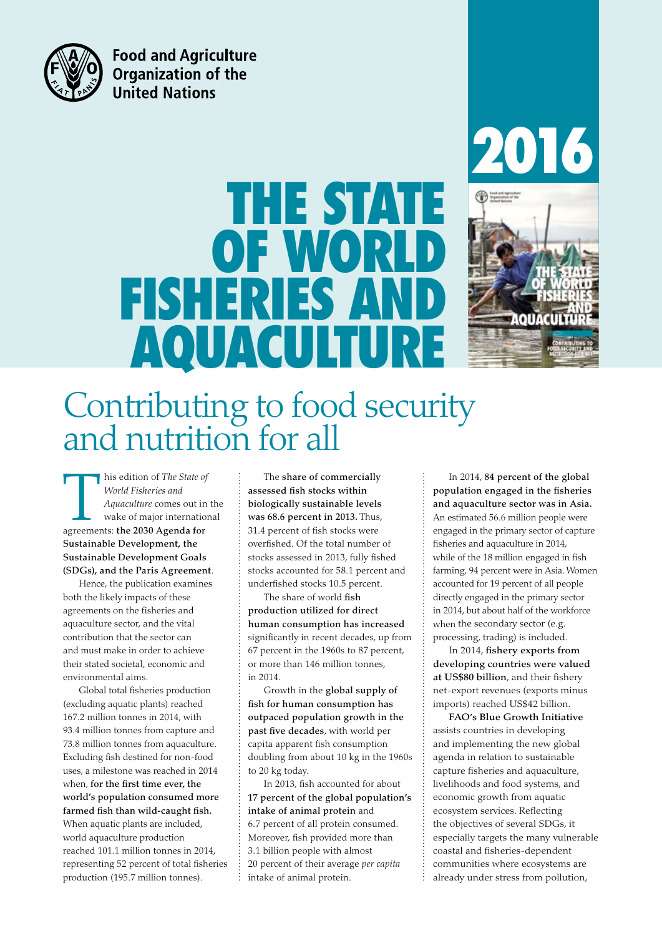

**Food and Agriculture Organization of the United Nations** 

# THE STATE OF WORLD FISHERIES A AQUACULTURE





## Contributing to food security and nutrition for all

This edition of *The State of*<br> *World Fisheries and*<br> *Aquaculture* comes out in<br>
wake of major internation<br>
agreements: the 2030 Agenda for *World Fisheries and Aquaculture* comes out in the wake of major international Sustainable Development, the Sustainable Development Goals (SDGs), and the Paris Agreement.

Hence, the publication examines both the likely impacts of these agreements on the fisheries and aquaculture sector, and the vital contribution that the sector can and must make in order to achieve their stated societal, economic and environmental aims.

Global total fisheries production (excluding aquatic plants) reached 167.2 million tonnes in 2014, with 93.4 million tonnes from capture and 73.8 million tonnes from aquaculture. Excluding fish destined for non-food uses, a milestone was reached in 2014 when, for the first time ever, the world's population consumed more farmed fish than wild-caught fish. When aquatic plants are included, world aquaculture production reached 101.1 million tonnes in 2014, representing 52 percent of total fisheries production (195.7 million tonnes).

The share of commercially assessed fish stocks within biologically sustainable levels was 68.6 percent in 2013. Thus, 31.4 percent of fish stocks were overfished. Of the total number of stocks assessed in 2013, fully fished stocks accounted for 58.1 percent and underfished stocks 10.5 percent.

The share of world fish production utilized for direct human consumption has increased significantly in recent decades, up from 67 percent in the 1960s to 87 percent, or more than 146 million tonnes, in 2014.

Growth in the global supply of fish for human consumption has outpaced population growth in the past five decades, with world per capita apparent fish consumption doubling from about 10 kg in the 1960s to 20 kg today.

In 2013, fish accounted for about 17 percent of the global population's intake of animal protein and 6.7 percent of all protein consumed. Moreover, fish provided more than 3.1 billion people with almost 20 percent of their average *per capita* intake of animal protein.

In 2014, 84 percent of the global population engaged in the fisheries and aquaculture sector was in Asia. An estimated 56.6 million people were engaged in the primary sector of capture fisheries and aquaculture in 2014, while of the 18 million engaged in fish farming, 94 percent were in Asia. Women accounted for 19 percent of all people directly engaged in the primary sector in 2014, but about half of the workforce when the secondary sector (e.g. processing, trading) is included.

In 2014, fishery exports from developing countries were valued at US\$80 billion, and their fishery net-export revenues (exports minus imports) reached US\$42 billion.

FAO's Blue Growth Initiative assists countries in developing and implementing the new global agenda in relation to sustainable capture fisheries and aquaculture, livelihoods and food systems, and economic growth from aquatic ecosystem services. Reflecting the objectives of several SDGs, it especially targets the many vulnerable coastal and fisheries-dependent communities where ecosystems are already under stress from pollution,